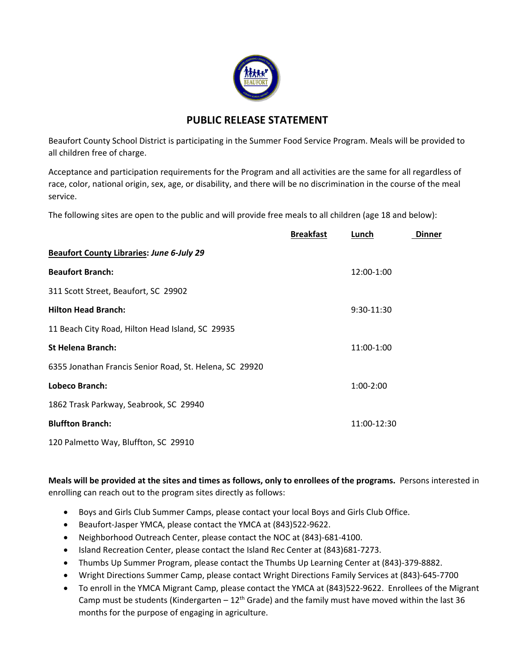

## **PUBLIC RELEASE STATEMENT**

Beaufort County School District is participating in the Summer Food Service Program. Meals will be provided to all children free of charge.

Acceptance and participation requirements for the Program and all activities are the same for all regardless of race, color, national origin, sex, age, or disability, and there will be no discrimination in the course of the meal service.

The following sites are open to the public and will provide free meals to all children (age 18 and below):

|                                                         | <b>Breakfast</b> | Lunch       | <b>Dinner</b> |
|---------------------------------------------------------|------------------|-------------|---------------|
| <b>Beaufort County Libraries: June 6-July 29</b>        |                  |             |               |
| <b>Beaufort Branch:</b>                                 |                  | 12:00-1:00  |               |
| 311 Scott Street, Beaufort, SC 29902                    |                  |             |               |
| <b>Hilton Head Branch:</b>                              |                  | 9:30-11:30  |               |
| 11 Beach City Road, Hilton Head Island, SC 29935        |                  |             |               |
| <b>St Helena Branch:</b>                                |                  | 11:00-1:00  |               |
| 6355 Jonathan Francis Senior Road, St. Helena, SC 29920 |                  |             |               |
| Lobeco Branch:                                          |                  | $1:00-2:00$ |               |
| 1862 Trask Parkway, Seabrook, SC 29940                  |                  |             |               |
| <b>Bluffton Branch:</b>                                 |                  | 11:00-12:30 |               |
| 120 Palmetto Way, Bluffton, SC 29910                    |                  |             |               |

Meals will be provided at the sites and times as follows, only to enrollees of the programs. Persons interested in enrolling can reach out to the program sites directly as follows:

- Boys and Girls Club Summer Camps, please contact your local Boys and Girls Club Office.
- Beaufort-Jasper YMCA, please contact the YMCA at (843)522-9622.
- Neighborhood Outreach Center, please contact the NOC at (843)‐681‐4100.
- Island Recreation Center, please contact the Island Rec Center at (843)681-7273.
- Thumbs Up Summer Program, please contact the Thumbs Up Learning Center at (843)‐379‐8882.
- Wright Directions Summer Camp, please contact Wright Directions Family Services at (843)‐645‐7700
- To enroll in the YMCA Migrant Camp, please contact the YMCA at (843)522‐9622. Enrollees of the Migrant Camp must be students (Kindergarten –  $12<sup>th</sup>$  Grade) and the family must have moved within the last 36 months for the purpose of engaging in agriculture.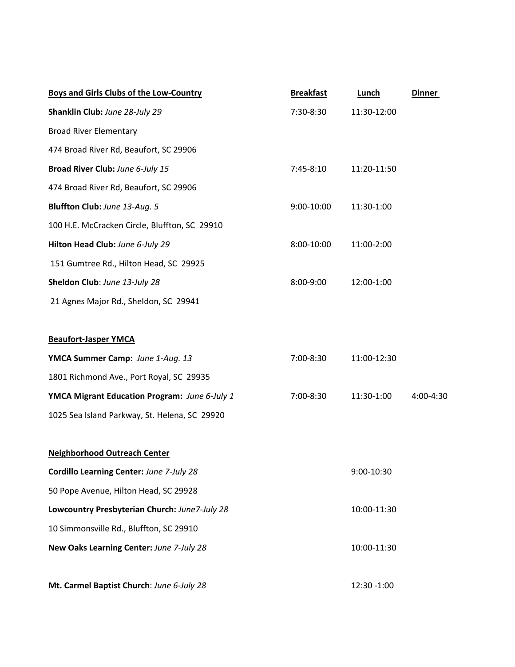| Boys and Girls Clubs of the Low-Country       | <b>Breakfast</b> | Lunch       | <b>Dinner</b> |
|-----------------------------------------------|------------------|-------------|---------------|
| Shanklin Club: June 28-July 29                | 7:30-8:30        | 11:30-12:00 |               |
| <b>Broad River Elementary</b>                 |                  |             |               |
| 474 Broad River Rd, Beaufort, SC 29906        |                  |             |               |
| Broad River Club: June 6-July 15              | 7:45-8:10        | 11:20-11:50 |               |
| 474 Broad River Rd, Beaufort, SC 29906        |                  |             |               |
| Bluffton Club: June 13-Aug. 5                 | 9:00-10:00       | 11:30-1:00  |               |
| 100 H.E. McCracken Circle, Bluffton, SC 29910 |                  |             |               |
| Hilton Head Club: June 6-July 29              | 8:00-10:00       | 11:00-2:00  |               |
| 151 Gumtree Rd., Hilton Head, SC 29925        |                  |             |               |
| Sheldon Club: June 13-July 28                 | 8:00-9:00        | 12:00-1:00  |               |
| 21 Agnes Major Rd., Sheldon, SC 29941         |                  |             |               |
| <b>Beaufort-Jasper YMCA</b>                   |                  |             |               |
| YMCA Summer Camp: June 1-Aug. 13              | 7:00-8:30        | 11:00-12:30 |               |
| 1801 Richmond Ave., Port Royal, SC 29935      |                  |             |               |
| YMCA Migrant Education Program: June 6-July 1 | 7:00-8:30        | 11:30-1:00  | 4:00-4:30     |
| 1025 Sea Island Parkway, St. Helena, SC 29920 |                  |             |               |
| <b>Neighborhood Outreach Center</b>           |                  |             |               |
| Cordillo Learning Center: June 7-July 28      |                  | 9:00-10:30  |               |
| 50 Pope Avenue, Hilton Head, SC 29928         |                  |             |               |
| Lowcountry Presbyterian Church: June7-July 28 |                  | 10:00-11:30 |               |
| 10 Simmonsville Rd., Bluffton, SC 29910       |                  |             |               |
| New Oaks Learning Center: June 7-July 28      |                  | 10:00-11:30 |               |
| Mt. Carmel Baptist Church: June 6-July 28     |                  | 12:30 -1:00 |               |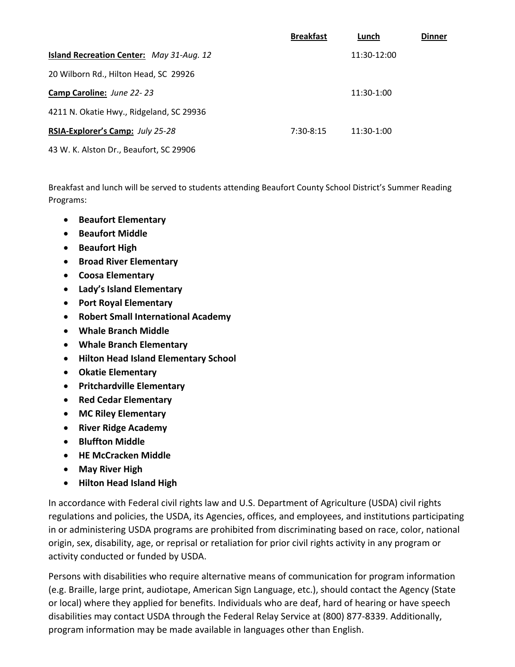|                                                 | <b>Breakfast</b> | Lunch        | <b>Dinner</b> |
|-------------------------------------------------|------------------|--------------|---------------|
| <b>Island Recreation Center: May 31-Aug. 12</b> |                  | 11:30-12:00  |               |
| 20 Wilborn Rd., Hilton Head, SC 29926           |                  |              |               |
| Camp Caroline: June 22-23                       |                  | $11:30-1:00$ |               |
| 4211 N. Okatie Hwy., Ridgeland, SC 29936        |                  |              |               |
| RSIA-Explorer's Camp: July 25-28                | $7:30-8:15$      | 11:30-1:00   |               |
| 43 W. K. Alston Dr., Beaufort, SC 29906         |                  |              |               |

Breakfast and lunch will be served to students attending Beaufort County School District's Summer Reading Programs:

- **Beaufort Elementary**
- **Beaufort Middle**
- **Beaufort High**
- **Broad River Elementary**
- **Coosa Elementary**
- **Lady's Island Elementary**
- **Port Royal Elementary**
- **Robert Small International Academy**
- **Whale Branch Middle**
- **Whale Branch Elementary**
- **Hilton Head Island Elementary School**
- **Okatie Elementary**
- **Pritchardville Elementary**
- **Red Cedar Elementary**
- **MC Riley Elementary**
- **River Ridge Academy**
- **Bluffton Middle**
- **HE McCracken Middle**
- **May River High**
- **Hilton Head Island High**

In accordance with Federal civil rights law and U.S. Department of Agriculture (USDA) civil rights regulations and policies, the USDA, its Agencies, offices, and employees, and institutions participating in or administering USDA programs are prohibited from discriminating based on race, color, national origin, sex, disability, age, or reprisal or retaliation for prior civil rights activity in any program or activity conducted or funded by USDA.

Persons with disabilities who require alternative means of communication for program information (e.g. Braille, large print, audiotape, American Sign Language, etc.), should contact the Agency (State or local) where they applied for benefits. Individuals who are deaf, hard of hearing or have speech disabilities may contact USDA through the Federal Relay Service at (800) 877‐8339. Additionally, program information may be made available in languages other than English.